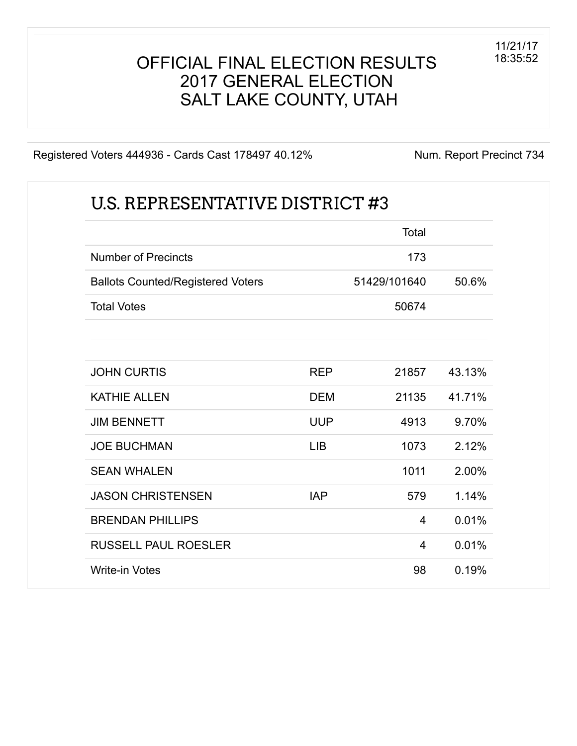#### OFFICIAL FINAL ELECTION RESULTS 2017 GENERAL ELECTION SALT LAKE COUNTY, UTAH

Registered Voters 444936 - Cards Cast 178497 40.12% Num. Report Precinct 734

|                                          |            | Total          |        |
|------------------------------------------|------------|----------------|--------|
| <b>Number of Precincts</b>               |            | 173            |        |
| <b>Ballots Counted/Registered Voters</b> |            | 51429/101640   | 50.6%  |
| <b>Total Votes</b>                       |            | 50674          |        |
| <b>JOHN CURTIS</b>                       | <b>REP</b> | 21857          | 43.13% |
| <b>KATHIE ALLEN</b>                      | <b>DEM</b> | 21135          | 41.71% |
| <b>JIM BENNETT</b>                       | <b>UUP</b> | 4913           | 9.70%  |
| <b>JOE BUCHMAN</b>                       | <b>LIB</b> | 1073           | 2.12%  |
| <b>SEAN WHALEN</b>                       |            | 1011           | 2.00%  |
| <b>JASON CHRISTENSEN</b>                 | <b>IAP</b> | 579            | 1.14%  |
| <b>BRENDAN PHILLIPS</b>                  |            | $\overline{4}$ | 0.01%  |
| <b>RUSSELL PAUL ROESLER</b>              |            | 4              | 0.01%  |
| <b>Write-in Votes</b>                    |            | 98             | 0.19%  |

11/21/17 18:35:52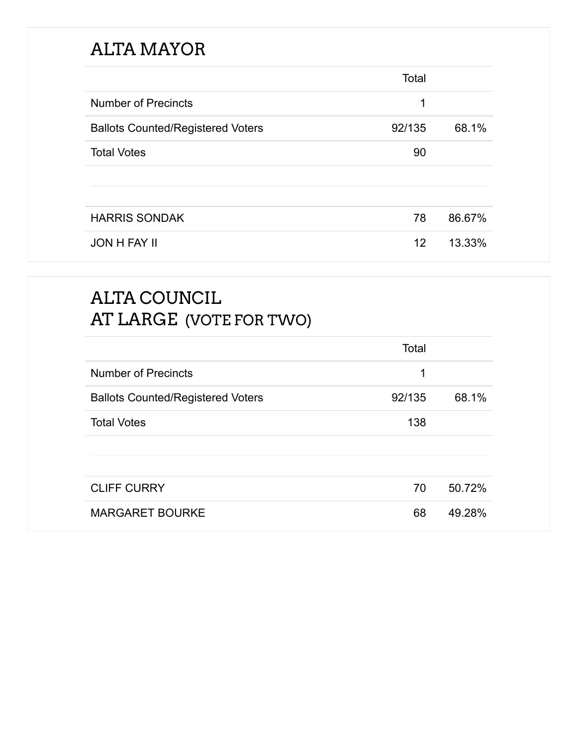# ALTA MAYOR

|                                          | Total  |        |
|------------------------------------------|--------|--------|
| <b>Number of Precincts</b>               | 1      |        |
| <b>Ballots Counted/Registered Voters</b> | 92/135 | 68.1%  |
| <b>Total Votes</b>                       | 90     |        |
|                                          |        |        |
|                                          |        |        |
| <b>HARRIS SONDAK</b>                     | 78     | 86.67% |
| <b>JON H FAY II</b>                      | 12     | 13.33% |

# ALTA COUNCIL AT LARGE (VOTE FOR TWO)

|                                          | Total  |        |
|------------------------------------------|--------|--------|
| <b>Number of Precincts</b>               | 1      |        |
| <b>Ballots Counted/Registered Voters</b> | 92/135 | 68.1%  |
| <b>Total Votes</b>                       | 138    |        |
|                                          |        |        |
|                                          |        |        |
| <b>CLIFF CURRY</b>                       | 70     | 50.72% |
| <b>MARGARET BOURKE</b>                   | 68     | 49.28% |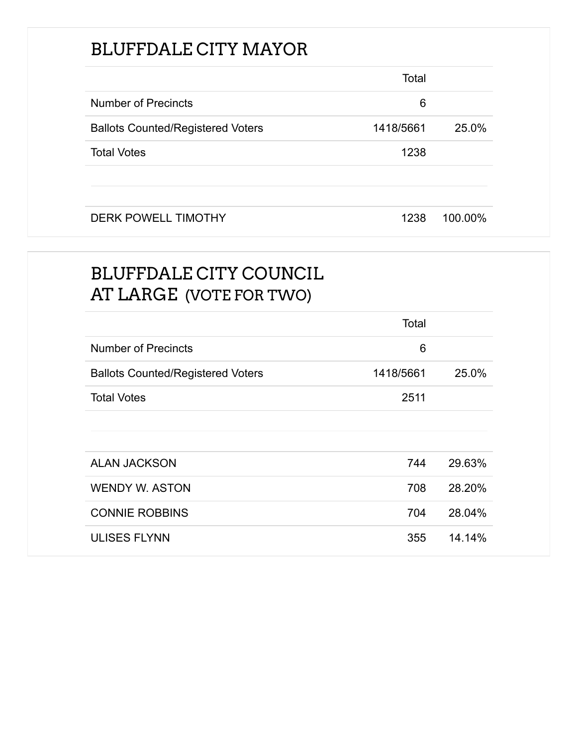# BLUFFDALE CITY MAYOR

|                                          | Total     |         |
|------------------------------------------|-----------|---------|
| <b>Number of Precincts</b>               | 6         |         |
| <b>Ballots Counted/Registered Voters</b> | 1418/5661 | 25.0%   |
| <b>Total Votes</b>                       | 1238      |         |
|                                          |           |         |
| <b>DERK POWELL TIMOTHY</b>               | 1238      | 100.00% |

# BLUFFDALE CITY COUNCIL AT LARGE (VOTE FOR TWO)

|                                          | Total     |        |
|------------------------------------------|-----------|--------|
| <b>Number of Precincts</b>               | 6         |        |
| <b>Ballots Counted/Registered Voters</b> | 1418/5661 | 25.0%  |
| <b>Total Votes</b>                       | 2511      |        |
|                                          |           |        |
|                                          |           |        |
| <b>ALAN JACKSON</b>                      | 744       | 29.63% |
| <b>WENDY W. ASTON</b>                    | 708       | 28.20% |
| <b>CONNIE ROBBINS</b>                    | 704       | 28.04% |
| <b>ULISES FLYNN</b>                      | 355       | 14.14% |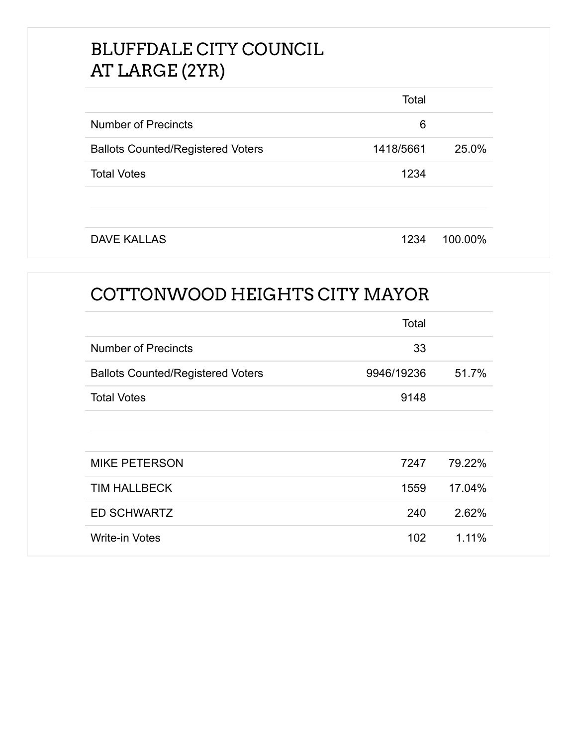# BLUFFDALE CITY COUNCIL AT LARGE (2YR)

|                                          | Total     |         |
|------------------------------------------|-----------|---------|
| <b>Number of Precincts</b>               | 6         |         |
| <b>Ballots Counted/Registered Voters</b> | 1418/5661 | 25.0%   |
| <b>Total Votes</b>                       | 1234      |         |
|                                          |           |         |
|                                          |           |         |
| <b>DAVE KALLAS</b>                       | 1234      | 100.00% |

# COTTONWOOD HEIGHTS CITY MAYOR

|                                          | Total      |        |
|------------------------------------------|------------|--------|
| <b>Number of Precincts</b>               | 33         |        |
| <b>Ballots Counted/Registered Voters</b> | 9946/19236 | 51.7%  |
| <b>Total Votes</b>                       | 9148       |        |
|                                          |            |        |
|                                          |            |        |
| <b>MIKE PETERSON</b>                     | 7247       | 79.22% |
| <b>TIM HALLBECK</b>                      | 1559       | 17.04% |
| <b>ED SCHWARTZ</b>                       | 240        | 2.62%  |
| <b>Write-in Votes</b>                    | 102        | 1.11%  |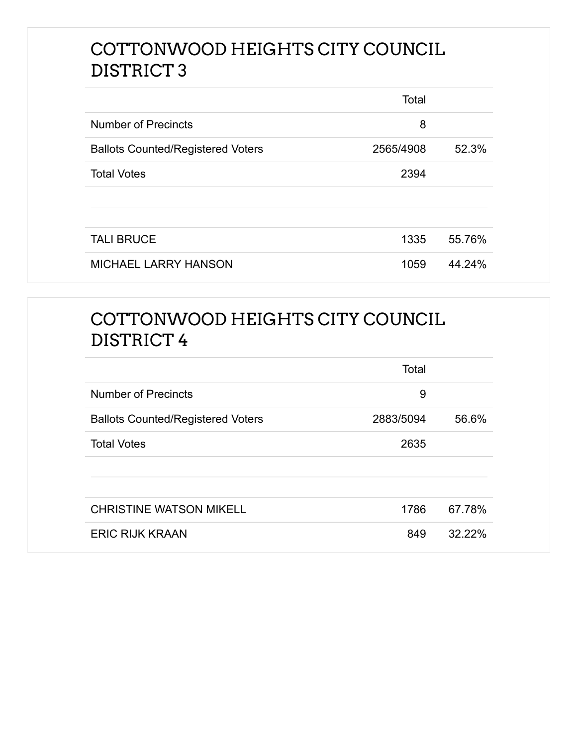## COTTONWOOD HEIGHTS CITY COUNCIL DISTRICT 3

|                                          | Total     |        |
|------------------------------------------|-----------|--------|
| <b>Number of Precincts</b>               | 8         |        |
| <b>Ballots Counted/Registered Voters</b> | 2565/4908 | 52.3%  |
| <b>Total Votes</b>                       | 2394      |        |
|                                          |           |        |
|                                          |           |        |
| <b>TALI BRUCE</b>                        | 1335      | 55.76% |
| <b>MICHAEL LARRY HANSON</b>              | 1059      | 44.24% |

## COTTONWOOD HEIGHTS CITY COUNCIL DISTRICT 4

|                                          | Total     |        |
|------------------------------------------|-----------|--------|
| <b>Number of Precincts</b>               | 9         |        |
| <b>Ballots Counted/Registered Voters</b> | 2883/5094 | 56.6%  |
| <b>Total Votes</b>                       | 2635      |        |
|                                          |           |        |
|                                          |           |        |
| <b>CHRISTINE WATSON MIKELL</b>           | 1786      | 67.78% |
| <b>ERIC RIJK KRAAN</b>                   | 849       | 32.22% |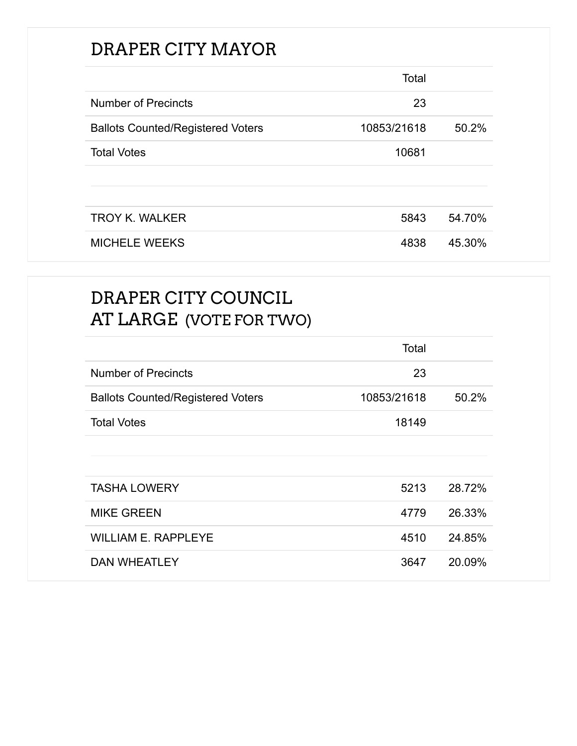# DRAPER CITY MAYOR

|                                          | Total       |        |
|------------------------------------------|-------------|--------|
| <b>Number of Precincts</b>               | 23          |        |
| <b>Ballots Counted/Registered Voters</b> | 10853/21618 | 50.2%  |
| <b>Total Votes</b>                       | 10681       |        |
|                                          |             |        |
|                                          |             |        |
| <b>TROY K. WALKER</b>                    | 5843        | 54.70% |
| <b>MICHELE WEEKS</b>                     | 4838        | 45.30% |

## DRAPER CITY COUNCIL AT LARGE (VOTE FOR TWO)

|                                          | Total       |        |
|------------------------------------------|-------------|--------|
| <b>Number of Precincts</b>               | 23          |        |
| <b>Ballots Counted/Registered Voters</b> | 10853/21618 | 50.2%  |
| <b>Total Votes</b>                       | 18149       |        |
|                                          |             |        |
|                                          |             |        |
| <b>TASHA LOWERY</b>                      | 5213        | 28.72% |
| <b>MIKE GREEN</b>                        | 4779        | 26.33% |
| <b>WILLIAM E. RAPPLEYE</b>               | 4510        | 24.85% |
| <b>DAN WHEATLEY</b>                      | 3647        | 20.09% |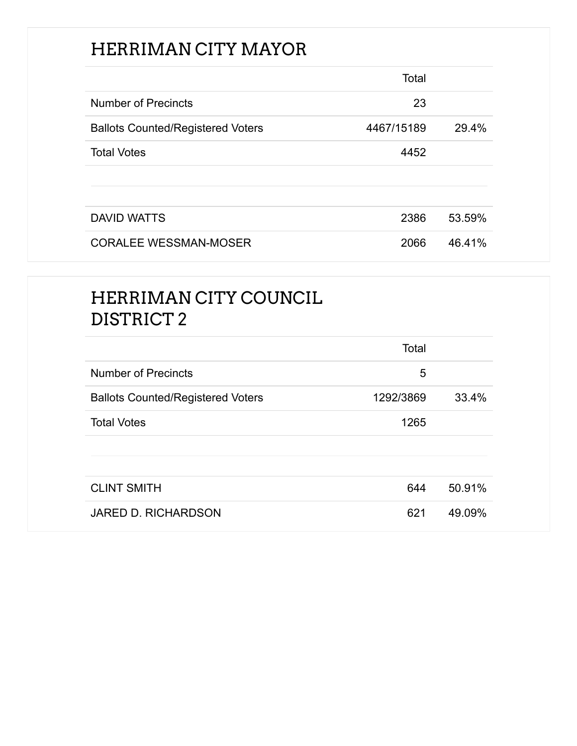# HERRIMAN CITY MAYOR

|                                          | Total      |        |
|------------------------------------------|------------|--------|
| <b>Number of Precincts</b>               | 23         |        |
| <b>Ballots Counted/Registered Voters</b> | 4467/15189 | 29.4%  |
| <b>Total Votes</b>                       | 4452       |        |
|                                          |            |        |
|                                          |            |        |
| <b>DAVID WATTS</b>                       | 2386       | 53.59% |
| <b>CORALEE WESSMAN-MOSER</b>             | 2066       | 46.41% |

# HERRIMAN CITY COUNCIL DISTRICT 2

|                                          | Total     |        |
|------------------------------------------|-----------|--------|
| <b>Number of Precincts</b>               | 5         |        |
| <b>Ballots Counted/Registered Voters</b> | 1292/3869 | 33.4%  |
| <b>Total Votes</b>                       | 1265      |        |
|                                          |           |        |
|                                          |           |        |
| <b>CLINT SMITH</b>                       | 644       | 50.91% |
| JARED D. RICHARDSON                      | 621       | 49.09% |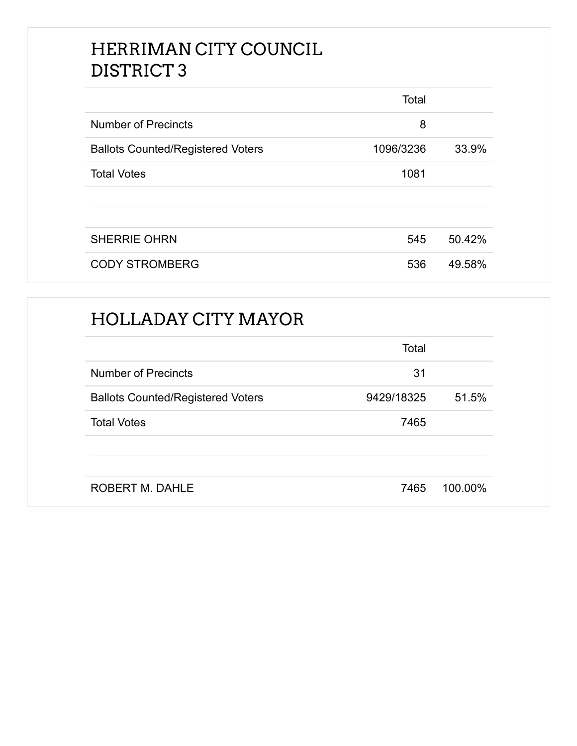## HERRIMAN CITY COUNCIL DISTRICT 3

|                                          | Total     |        |
|------------------------------------------|-----------|--------|
| <b>Number of Precincts</b>               | 8         |        |
| <b>Ballots Counted/Registered Voters</b> | 1096/3236 | 33.9%  |
| <b>Total Votes</b>                       | 1081      |        |
|                                          |           |        |
|                                          |           |        |
| <b>SHERRIE OHRN</b>                      | 545       | 50.42% |
| <b>CODY STROMBERG</b>                    | 536       | 49.58% |

#### HOLLADAY CITY MAYOR

|                                          | Total      |         |
|------------------------------------------|------------|---------|
| <b>Number of Precincts</b>               | 31         |         |
| <b>Ballots Counted/Registered Voters</b> | 9429/18325 | 51.5%   |
| <b>Total Votes</b>                       | 7465       |         |
|                                          |            |         |
| <b>ROBERT M. DAHLE</b>                   | 7465       | 100.00% |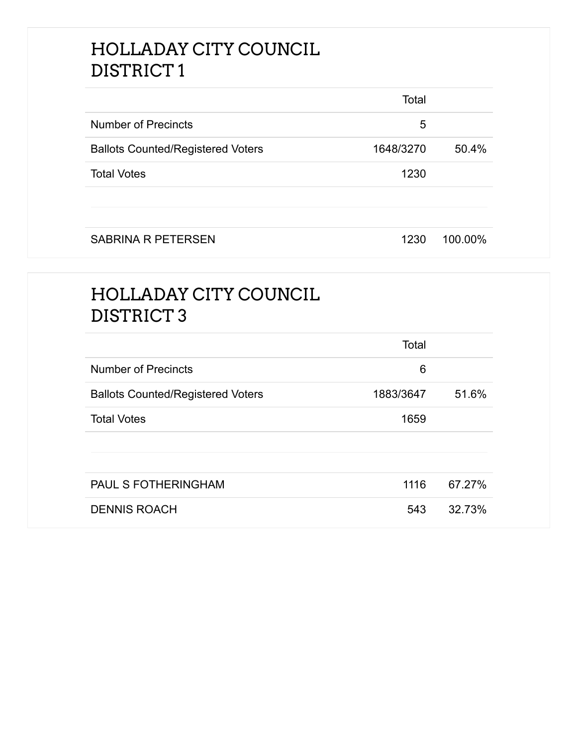## HOLLADAY CITY COUNCIL DISTRICT 1

|                                          | Total     |         |
|------------------------------------------|-----------|---------|
| <b>Number of Precincts</b>               | 5         |         |
| <b>Ballots Counted/Registered Voters</b> | 1648/3270 | 50.4%   |
| <b>Total Votes</b>                       | 1230      |         |
|                                          |           |         |
| <b>SABRINA R PETERSEN</b>                | 1230      | 100.00% |

# HOLLADAY CITY COUNCIL DISTRICT 3

|                                          | Total     |        |
|------------------------------------------|-----------|--------|
| <b>Number of Precincts</b>               | 6         |        |
| <b>Ballots Counted/Registered Voters</b> | 1883/3647 | 51.6%  |
| <b>Total Votes</b>                       | 1659      |        |
|                                          |           |        |
|                                          |           |        |
| <b>PAUL S FOTHERINGHAM</b>               | 1116      | 67.27% |
| <b>DENNIS ROACH</b>                      | 543       | 32.73% |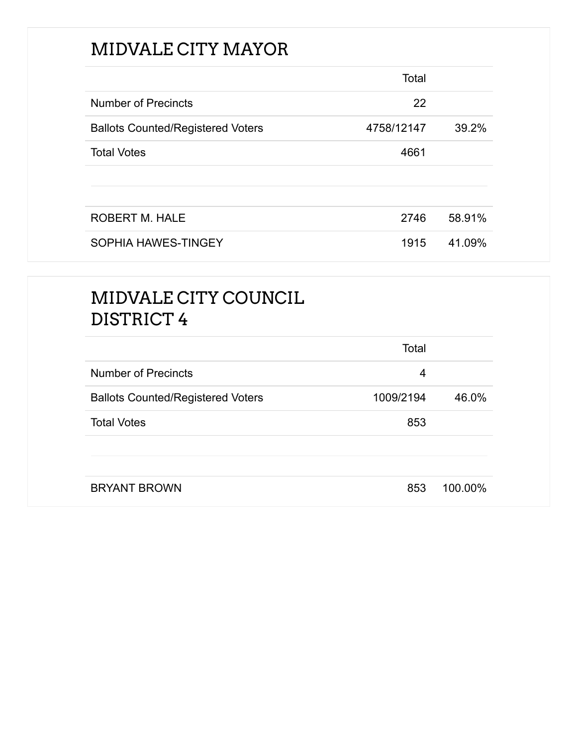# MIDVALE CITY MAYOR

|                                          | Total      |        |
|------------------------------------------|------------|--------|
| <b>Number of Precincts</b>               | 22         |        |
| <b>Ballots Counted/Registered Voters</b> | 4758/12147 | 39.2%  |
| <b>Total Votes</b>                       | 4661       |        |
|                                          |            |        |
|                                          |            |        |
| <b>ROBERT M. HALE</b>                    | 2746       | 58.91% |
| SOPHIA HAWES-TINGEY                      | 1915       | 41.09% |

# MIDVALE CITY COUNCIL DISTRICT 4

|                                          | Total     |         |
|------------------------------------------|-----------|---------|
| <b>Number of Precincts</b>               | 4         |         |
| <b>Ballots Counted/Registered Voters</b> | 1009/2194 | 46.0%   |
| <b>Total Votes</b>                       | 853       |         |
|                                          |           |         |
| <b>BRYANT BROWN</b>                      | 853       | 100.00% |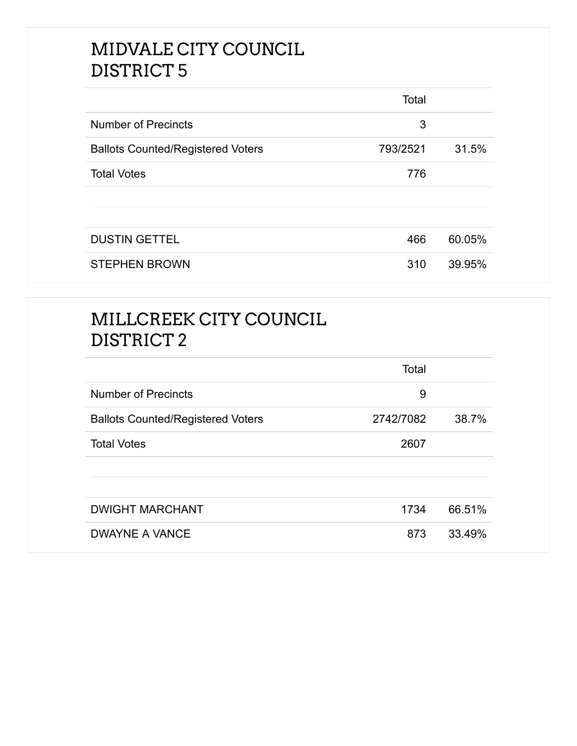## MIDVALE CITY COUNCIL DISTRICT 5

|                                          | Total    |        |
|------------------------------------------|----------|--------|
| <b>Number of Precincts</b>               | 3        |        |
| <b>Ballots Counted/Registered Voters</b> | 793/2521 | 31.5%  |
| <b>Total Votes</b>                       | 776      |        |
|                                          |          |        |
|                                          |          |        |
| <b>DUSTIN GETTEL</b>                     | 466      | 60.05% |
| <b>STEPHEN BROWN</b>                     | 310      | 39.95% |

# MILLCREEK CITY COUNCIL DISTRICT 2

|                                          | Total     |        |
|------------------------------------------|-----------|--------|
| <b>Number of Precincts</b>               | 9         |        |
| <b>Ballots Counted/Registered Voters</b> | 2742/7082 | 38.7%  |
| <b>Total Votes</b>                       | 2607      |        |
|                                          |           |        |
| <b>DWIGHT MARCHANT</b>                   | 1734      | 66.51% |
| <b>DWAYNE A VANCE</b>                    | 873       | 33.49% |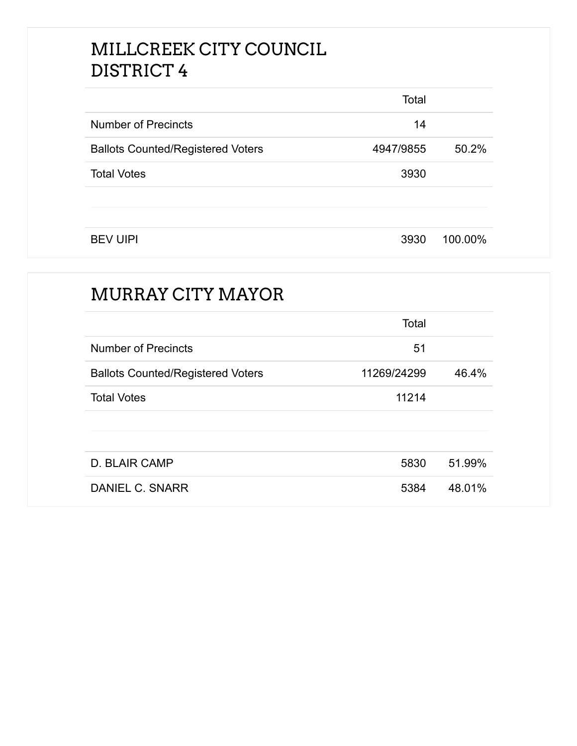## MILLCREEK CITY COUNCIL DISTRICT 4

|                                          | Total     |         |
|------------------------------------------|-----------|---------|
| <b>Number of Precincts</b>               | 14        |         |
| <b>Ballots Counted/Registered Voters</b> | 4947/9855 | 50.2%   |
| <b>Total Votes</b>                       | 3930      |         |
|                                          |           |         |
|                                          |           |         |
| <b>BEV UIPI</b>                          | 3930      | 100.00% |

# MURRAY CITY MAYOR Total Number of Precincts 51 Ballots Counted/Registered Voters 11269/24299 46.4% Total Votes **11214** D. BLAIR CAMP 5830 51.99% DANIEL C. SNARR 5384 48.01%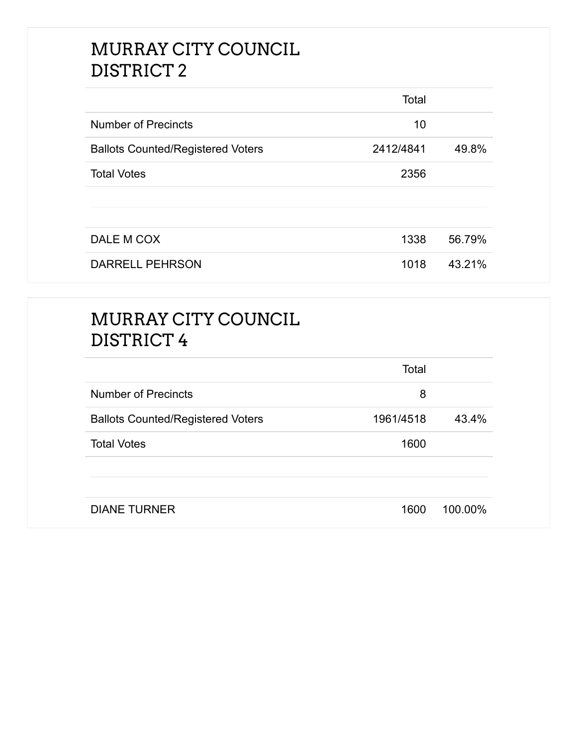## MURRAY CITY COUNCIL DISTRICT 2

|                                          | Total     |        |
|------------------------------------------|-----------|--------|
| <b>Number of Precincts</b>               | 10        |        |
| <b>Ballots Counted/Registered Voters</b> | 2412/4841 | 49.8%  |
| <b>Total Votes</b>                       | 2356      |        |
|                                          |           |        |
|                                          |           |        |
| DALE M COX                               | 1338      | 56.79% |
| <b>DARRELL PEHRSON</b>                   | 1018      | 43.21% |

# MURRAY CITY COUNCIL DISTRICT 4

|                                          | Total     |         |
|------------------------------------------|-----------|---------|
| <b>Number of Precincts</b>               | 8         |         |
| <b>Ballots Counted/Registered Voters</b> | 1961/4518 | 43.4%   |
| <b>Total Votes</b>                       | 1600      |         |
|                                          |           |         |
| <b>DIANE TURNER</b>                      | 1600      | 100.00% |
|                                          |           |         |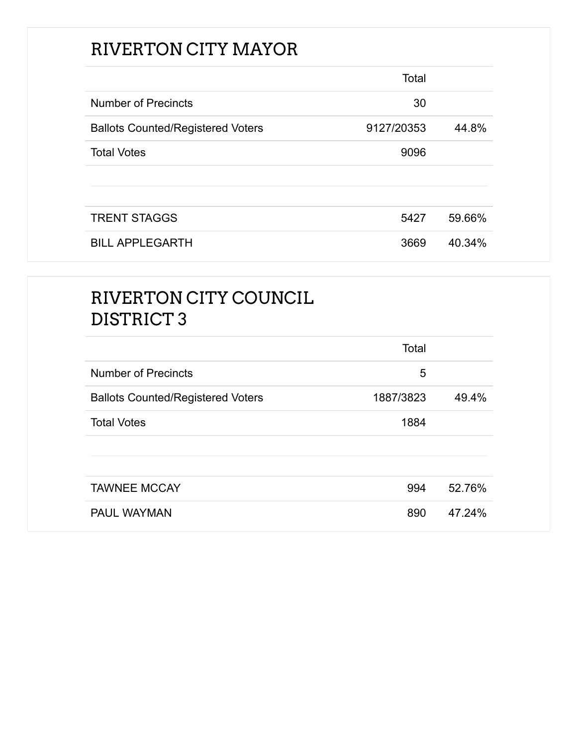# RIVERTON CITY MAYOR

|                                          | Total      |        |
|------------------------------------------|------------|--------|
| <b>Number of Precincts</b>               | 30         |        |
| <b>Ballots Counted/Registered Voters</b> | 9127/20353 | 44.8%  |
| <b>Total Votes</b>                       | 9096       |        |
|                                          |            |        |
|                                          |            |        |
| <b>TRENT STAGGS</b>                      | 5427       | 59.66% |
| <b>BILL APPLEGARTH</b>                   | 3669       | 40.34% |

# RIVERTON CITY COUNCIL DISTRICT 3

|                                          | Total     |        |
|------------------------------------------|-----------|--------|
| <b>Number of Precincts</b>               | 5         |        |
| <b>Ballots Counted/Registered Voters</b> | 1887/3823 | 49.4%  |
| <b>Total Votes</b>                       | 1884      |        |
|                                          |           |        |
|                                          |           |        |
| <b>TAWNEE MCCAY</b>                      | 994       | 52.76% |
| <b>PAUL WAYMAN</b>                       | 890       | 47.24% |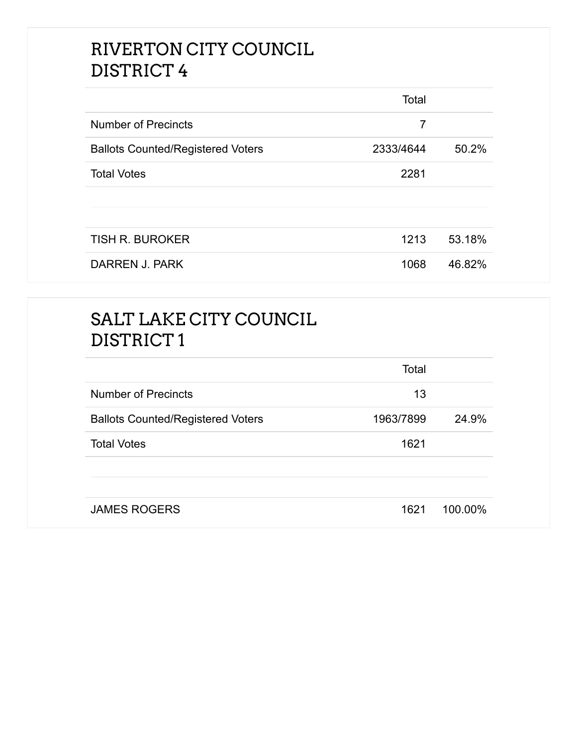## RIVERTON CITY COUNCIL DISTRICT 4

|                                          | Total     |        |
|------------------------------------------|-----------|--------|
| <b>Number of Precincts</b>               | 7         |        |
| <b>Ballots Counted/Registered Voters</b> | 2333/4644 | 50.2%  |
| <b>Total Votes</b>                       | 2281      |        |
|                                          |           |        |
|                                          |           |        |
| <b>TISH R. BUROKER</b>                   | 1213      | 53.18% |
| DARREN J. PARK                           | 1068      | 46.82% |

# SALT LAKE CITY COUNCIL DISTRICT 1

|                                          | Total     |         |
|------------------------------------------|-----------|---------|
| <b>Number of Precincts</b>               | 13        |         |
| <b>Ballots Counted/Registered Voters</b> | 1963/7899 | 24.9%   |
| <b>Total Votes</b>                       | 1621      |         |
|                                          |           |         |
| <b>JAMES ROGERS</b>                      |           | 100.00% |
|                                          | 1621      |         |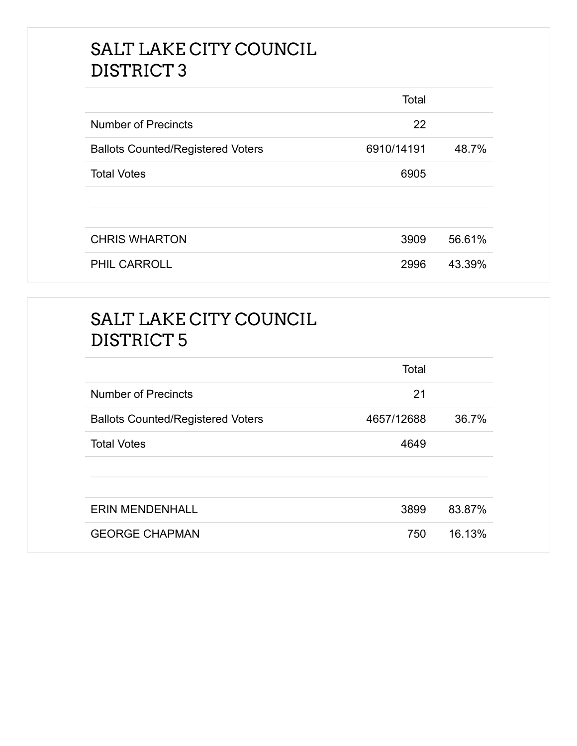## SALT LAKE CITY COUNCIL DISTRICT 3

|                                          | Total      |        |
|------------------------------------------|------------|--------|
| <b>Number of Precincts</b>               | 22         |        |
| <b>Ballots Counted/Registered Voters</b> | 6910/14191 | 48.7%  |
| <b>Total Votes</b>                       | 6905       |        |
|                                          |            |        |
|                                          |            |        |
| <b>CHRIS WHARTON</b>                     | 3909       | 56.61% |
| PHIL CARROLL                             | 2996       | 43.39% |

# SALT LAKE CITY COUNCIL DISTRICT 5

|                                          | Total      |        |
|------------------------------------------|------------|--------|
| <b>Number of Precincts</b>               | 21         |        |
| <b>Ballots Counted/Registered Voters</b> | 4657/12688 | 36.7%  |
| <b>Total Votes</b>                       | 4649       |        |
|                                          |            |        |
| <b>ERIN MENDENHALL</b>                   | 3899       | 83.87% |
| <b>GEORGE CHAPMAN</b>                    | 750        | 16.13% |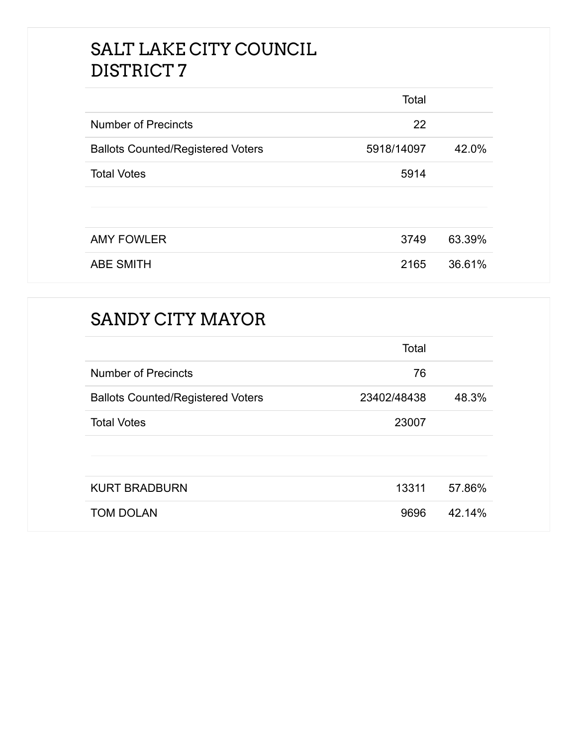## SALT LAKE CITY COUNCIL DISTRICT 7

|                                          | Total      |        |
|------------------------------------------|------------|--------|
| <b>Number of Precincts</b>               | 22         |        |
| <b>Ballots Counted/Registered Voters</b> | 5918/14097 | 42.0%  |
| <b>Total Votes</b>                       | 5914       |        |
|                                          |            |        |
|                                          |            |        |
| <b>AMY FOWLER</b>                        | 3749       | 63.39% |
| <b>ABE SMITH</b>                         | 2165       | 36.61% |

## SANDY CITY MAYOR

|                                          | Total       |        |
|------------------------------------------|-------------|--------|
| <b>Number of Precincts</b>               | 76          |        |
| <b>Ballots Counted/Registered Voters</b> | 23402/48438 | 48.3%  |
| <b>Total Votes</b>                       | 23007       |        |
|                                          |             |        |
|                                          |             |        |
| <b>KURT BRADBURN</b>                     | 13311       | 57.86% |
| <b>TOM DOLAN</b>                         | 9696        | 42.14% |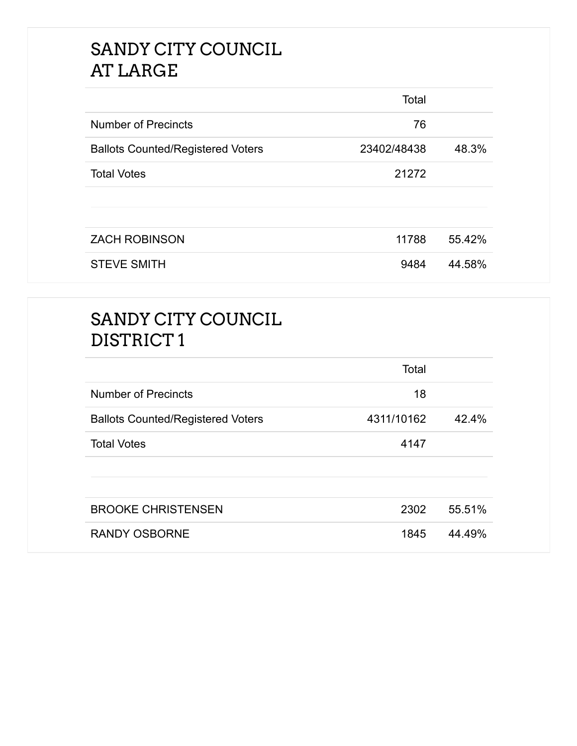## SANDY CITY COUNCIL AT LARGE

|                                          | Total       |        |
|------------------------------------------|-------------|--------|
| <b>Number of Precincts</b>               | 76          |        |
| <b>Ballots Counted/Registered Voters</b> | 23402/48438 | 48.3%  |
| <b>Total Votes</b>                       | 21272       |        |
|                                          |             |        |
| <b>ZACH ROBINSON</b>                     | 11788       | 55.42% |
| <b>STEVE SMITH</b>                       | 9484        | 44.58% |

## SANDY CITY COUNCIL DISTRICT 1

|                                          | Total      |        |
|------------------------------------------|------------|--------|
| <b>Number of Precincts</b>               | 18         |        |
| <b>Ballots Counted/Registered Voters</b> | 4311/10162 | 42.4%  |
| <b>Total Votes</b>                       | 4147       |        |
|                                          |            |        |
| <b>BROOKE CHRISTENSEN</b>                | 2302       | 55.51% |
| <b>RANDY OSBORNE</b>                     | 1845       | 44.49% |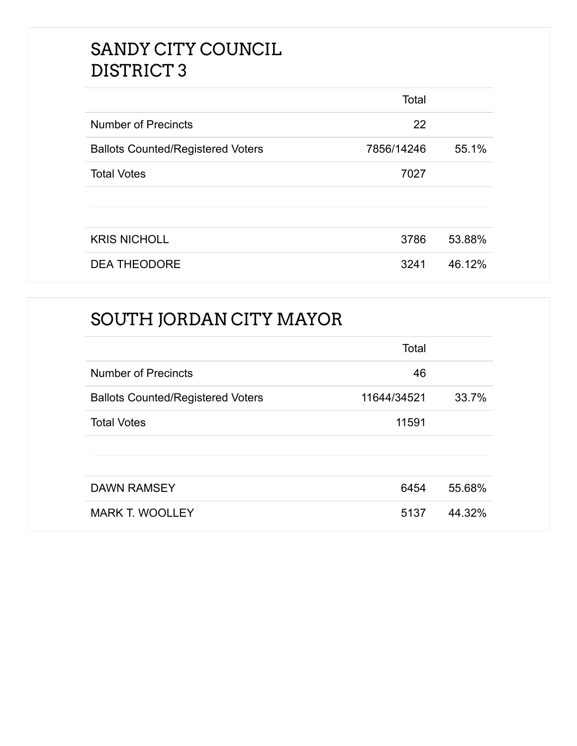## SANDY CITY COUNCIL DISTRICT 3

|                                          | Total      |        |
|------------------------------------------|------------|--------|
| <b>Number of Precincts</b>               | 22         |        |
| <b>Ballots Counted/Registered Voters</b> | 7856/14246 | 55.1%  |
| <b>Total Votes</b>                       | 7027       |        |
|                                          |            |        |
|                                          |            |        |
| <b>KRIS NICHOLL</b>                      | 3786       | 53.88% |
| <b>DEA THEODORE</b>                      | 3241       | 46.12% |

## SOUTH JORDAN CITY MAYOR

|                                          | Total       |        |
|------------------------------------------|-------------|--------|
| <b>Number of Precincts</b>               | 46          |        |
| <b>Ballots Counted/Registered Voters</b> | 11644/34521 | 33.7%  |
| <b>Total Votes</b>                       | 11591       |        |
|                                          |             |        |
|                                          |             |        |
| <b>DAWN RAMSEY</b>                       | 6454        | 55.68% |
| <b>MARK T. WOOLLEY</b>                   | 5137        | 44.32% |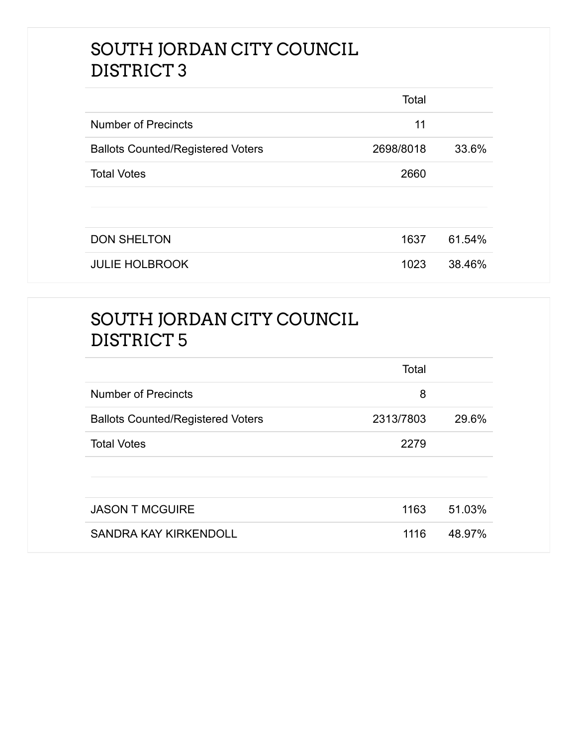## SOUTH JORDAN CITY COUNCIL DISTRICT 3

|                                          | Total     |        |
|------------------------------------------|-----------|--------|
| <b>Number of Precincts</b>               | 11        |        |
| <b>Ballots Counted/Registered Voters</b> | 2698/8018 | 33.6%  |
| <b>Total Votes</b>                       | 2660      |        |
|                                          |           |        |
| <b>DON SHELTON</b>                       | 1637      | 61.54% |
| <b>JULIE HOLBROOK</b>                    | 1023      | 38.46% |

# SOUTH JORDAN CITY COUNCIL DISTRICT 5

|                                          | Total     |        |
|------------------------------------------|-----------|--------|
| <b>Number of Precincts</b>               | 8         |        |
| <b>Ballots Counted/Registered Voters</b> | 2313/7803 | 29.6%  |
| <b>Total Votes</b>                       | 2279      |        |
|                                          |           |        |
|                                          |           |        |
| <b>JASON T MCGUIRE</b>                   | 1163      | 51.03% |
| <b>SANDRA KAY KIRKENDOLL</b>             | 1116      | 48.97% |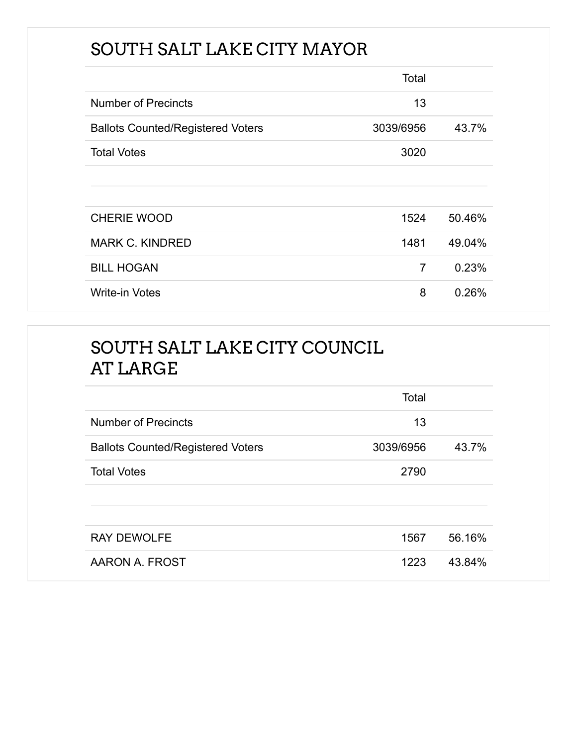# SOUTH SALT LAKE CITY MAYOR

|                                          | Total          |        |
|------------------------------------------|----------------|--------|
| <b>Number of Precincts</b>               | 13             |        |
| <b>Ballots Counted/Registered Voters</b> | 3039/6956      | 43.7%  |
| <b>Total Votes</b>                       | 3020           |        |
|                                          |                |        |
|                                          |                |        |
| <b>CHERIE WOOD</b>                       | 1524           | 50.46% |
| <b>MARK C. KINDRED</b>                   | 1481           | 49.04% |
| <b>BILL HOGAN</b>                        | $\overline{7}$ | 0.23%  |
| <b>Write-in Votes</b>                    | 8              | 0.26%  |

# SOUTH SALT LAKE CITY COUNCIL AT LARGE

|                                          | Total     |        |
|------------------------------------------|-----------|--------|
| <b>Number of Precincts</b>               | 13        |        |
| <b>Ballots Counted/Registered Voters</b> | 3039/6956 | 43.7%  |
| <b>Total Votes</b>                       | 2790      |        |
|                                          |           |        |
|                                          |           |        |
| <b>RAY DEWOLFE</b>                       | 1567      | 56.16% |
| AARON A. FROST                           | 1223      | 43.84% |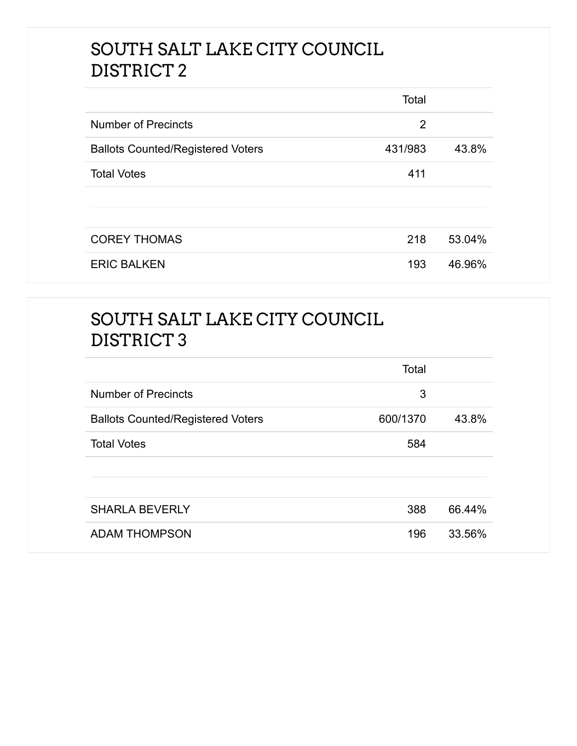## SOUTH SALT LAKE CITY COUNCIL DISTRICT 2

|                                          | Total   |        |
|------------------------------------------|---------|--------|
| <b>Number of Precincts</b>               | 2       |        |
| <b>Ballots Counted/Registered Voters</b> | 431/983 | 43.8%  |
| <b>Total Votes</b>                       | 411     |        |
|                                          |         |        |
| <b>COREY THOMAS</b>                      | 218     | 53.04% |
| <b>ERIC BALKEN</b>                       | 193     | 46.96% |

# SOUTH SALT LAKE CITY COUNCIL DISTRICT 3

|                                          | Total    |        |
|------------------------------------------|----------|--------|
| <b>Number of Precincts</b>               | 3        |        |
| <b>Ballots Counted/Registered Voters</b> | 600/1370 | 43.8%  |
| <b>Total Votes</b>                       | 584      |        |
|                                          |          |        |
|                                          |          |        |
| <b>SHARLA BEVERLY</b>                    | 388      | 66.44% |
| <b>ADAM THOMPSON</b>                     | 196      | 33.56% |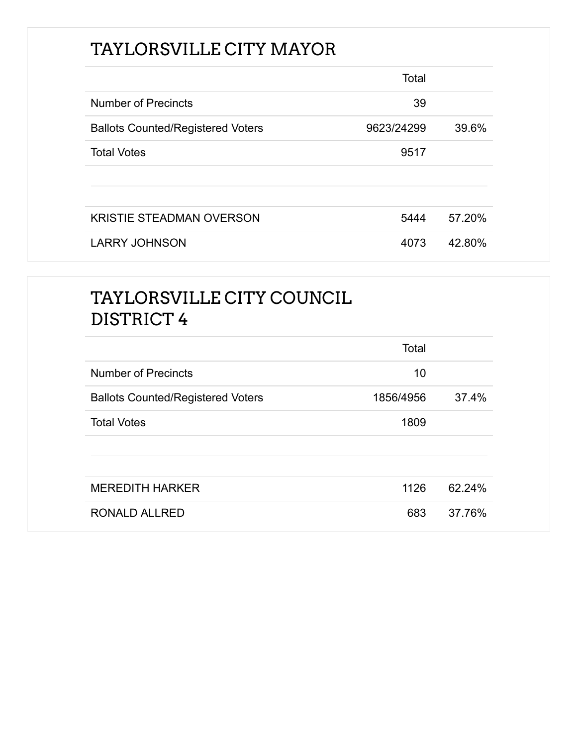# TAYLORSVILLE CITY MAYOR

|                                          | Total      |        |
|------------------------------------------|------------|--------|
| Number of Precincts                      | 39         |        |
| <b>Ballots Counted/Registered Voters</b> | 9623/24299 | 39.6%  |
| <b>Total Votes</b>                       | 9517       |        |
|                                          |            |        |
|                                          |            |        |
| <b>KRISTIE STEADMAN OVERSON</b>          | 5444       | 57.20% |
| <b>LARRY JOHNSON</b>                     | 4073       | 42.80% |

## TAYLORSVILLE CITY COUNCIL DISTRICT 4

|                                          | Total     |        |
|------------------------------------------|-----------|--------|
| <b>Number of Precincts</b>               | 10        |        |
| <b>Ballots Counted/Registered Voters</b> | 1856/4956 | 37.4%  |
| <b>Total Votes</b>                       | 1809      |        |
|                                          |           |        |
|                                          |           |        |
| <b>MEREDITH HARKER</b>                   | 1126      | 62.24% |
| <b>RONALD ALLRED</b>                     | 683       | 37.76% |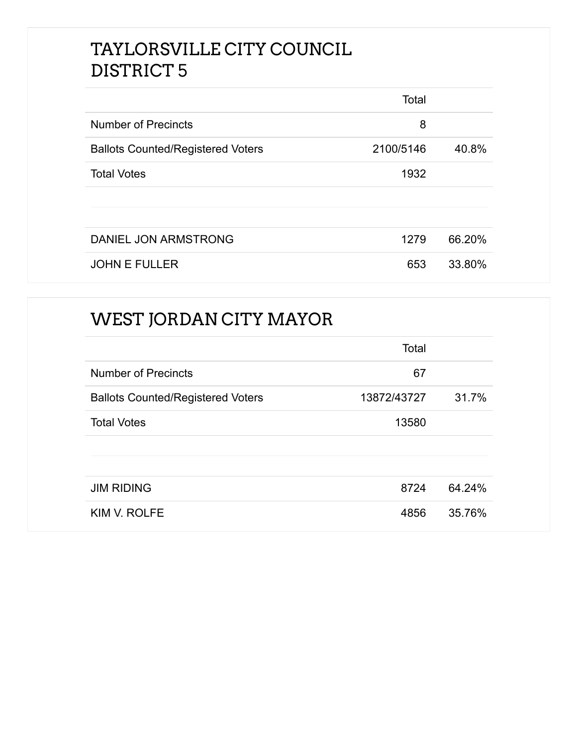## TAYLORSVILLE CITY COUNCIL DISTRICT 5

|                                          | Total     |        |
|------------------------------------------|-----------|--------|
| <b>Number of Precincts</b>               | 8         |        |
| <b>Ballots Counted/Registered Voters</b> | 2100/5146 | 40.8%  |
| <b>Total Votes</b>                       | 1932      |        |
|                                          |           |        |
| DANIEL JON ARMSTRONG                     | 1279      | 66.20% |
| <b>JOHN E FULLER</b>                     | 653       | 33.80% |

## WEST JORDAN CITY MAYOR

|                                          | Total       |        |
|------------------------------------------|-------------|--------|
| <b>Number of Precincts</b>               | 67          |        |
| <b>Ballots Counted/Registered Voters</b> | 13872/43727 | 31.7%  |
| <b>Total Votes</b>                       | 13580       |        |
|                                          |             |        |
|                                          |             |        |
| <b>JIM RIDING</b>                        | 8724        | 64.24% |
| KIM V. ROLFE                             | 4856        | 35.76% |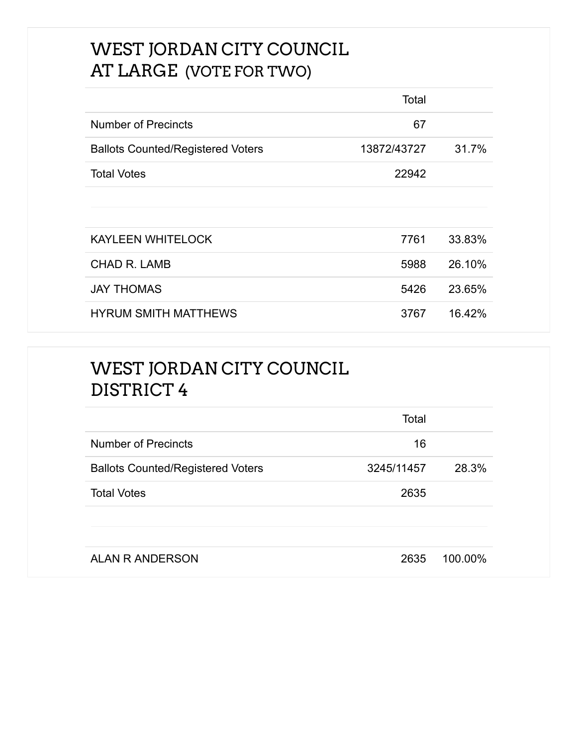## WEST JORDAN CITY COUNCIL AT LARGE (VOTE FOR TWO)

|                                          | Total       |        |
|------------------------------------------|-------------|--------|
| <b>Number of Precincts</b>               | 67          |        |
| <b>Ballots Counted/Registered Voters</b> | 13872/43727 | 31.7%  |
| <b>Total Votes</b>                       | 22942       |        |
|                                          |             |        |
|                                          |             |        |
| <b>KAYLEEN WHITELOCK</b>                 | 7761        | 33.83% |
| <b>CHAD R. LAMB</b>                      | 5988        | 26.10% |
| <b>JAY THOMAS</b>                        | 5426        | 23.65% |
| <b>HYRUM SMITH MATTHEWS</b>              | 3767        | 16.42% |

## WEST JORDAN CITY COUNCIL DISTRICT 4

|                                          | Total      |         |
|------------------------------------------|------------|---------|
| <b>Number of Precincts</b>               | 16         |         |
| <b>Ballots Counted/Registered Voters</b> | 3245/11457 | 28.3%   |
| <b>Total Votes</b>                       | 2635       |         |
|                                          |            |         |
|                                          |            |         |
| <b>ALAN R ANDERSON</b>                   | 2635       | 100.00% |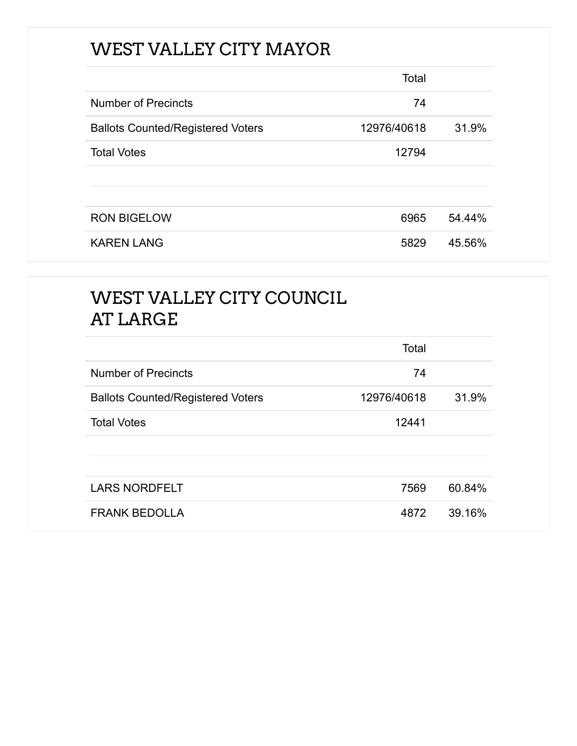# WEST VALLEY CITY MAYOR

|                                          | Total       |        |
|------------------------------------------|-------------|--------|
| <b>Number of Precincts</b>               | 74          |        |
| <b>Ballots Counted/Registered Voters</b> | 12976/40618 | 31.9%  |
| <b>Total Votes</b>                       | 12794       |        |
|                                          |             |        |
|                                          |             |        |
| <b>RON BIGELOW</b>                       | 6965        | 54.44% |
| <b>KAREN LANG</b>                        | 5829        | 45.56% |

# WEST VALLEY CITY COUNCIL AT LARGE

|                                          | Total       |        |
|------------------------------------------|-------------|--------|
| <b>Number of Precincts</b>               | 74          |        |
| <b>Ballots Counted/Registered Voters</b> | 12976/40618 | 31.9%  |
| <b>Total Votes</b>                       | 12441       |        |
|                                          |             |        |
|                                          |             |        |
| <b>LARS NORDFELT</b>                     | 7569        | 60.84% |
| <b>FRANK BEDOLLA</b>                     | 4872        | 39.16% |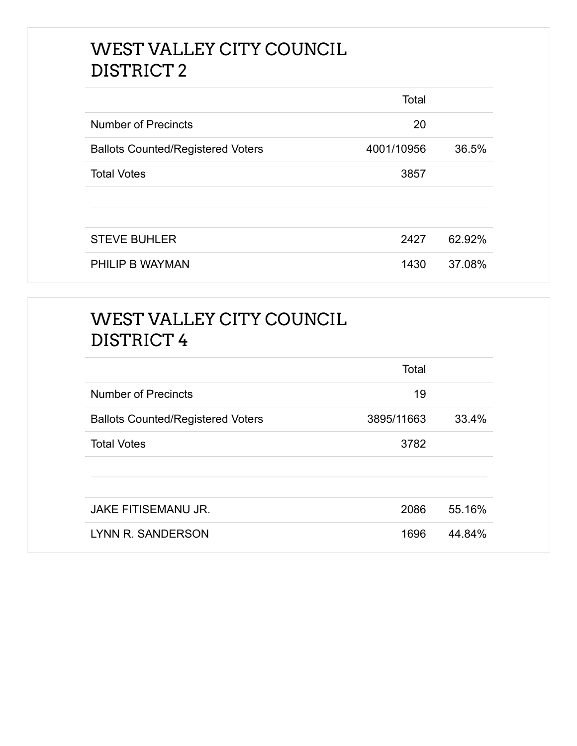## WEST VALLEY CITY COUNCIL DISTRICT 2

|                                          | Total      |        |
|------------------------------------------|------------|--------|
| <b>Number of Precincts</b>               | 20         |        |
| <b>Ballots Counted/Registered Voters</b> | 4001/10956 | 36.5%  |
| <b>Total Votes</b>                       | 3857       |        |
|                                          |            |        |
|                                          |            |        |
| <b>STEVE BUHLER</b>                      | 2427       | 62.92% |
| PHILIP B WAYMAN                          | 1430       | 37.08% |

# WEST VALLEY CITY COUNCIL DISTRICT 4

|                                          | Total      |        |
|------------------------------------------|------------|--------|
| Number of Precincts                      | 19         |        |
| <b>Ballots Counted/Registered Voters</b> | 3895/11663 | 33.4%  |
| <b>Total Votes</b>                       | 3782       |        |
|                                          |            |        |
|                                          |            |        |
| <b>JAKE FITISEMANU JR.</b>               | 2086       | 55.16% |
| LYNN R. SANDERSON                        | 1696       | 44.84% |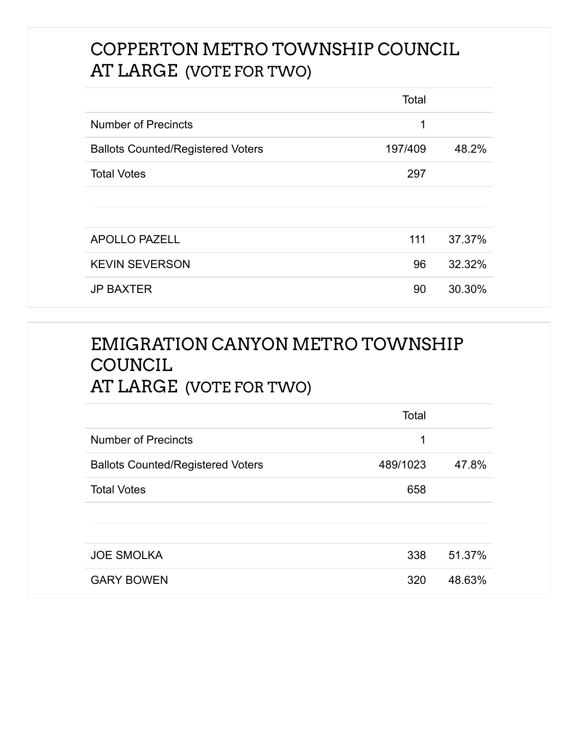## COPPERTON METRO TOWNSHIP COUNCIL AT LARGE (VOTE FOR TWO)

|                                          | Total   |        |
|------------------------------------------|---------|--------|
| <b>Number of Precincts</b>               | 1       |        |
| <b>Ballots Counted/Registered Voters</b> | 197/409 | 48.2%  |
| <b>Total Votes</b>                       | 297     |        |
|                                          |         |        |
|                                          |         |        |
| <b>APOLLO PAZELL</b>                     | 111     | 37.37% |
| <b>KEVIN SEVERSON</b>                    | 96      | 32.32% |
| <b>JP BAXTER</b>                         | 90      | 30.30% |

## EMIGRATION CANYON METRO TOWNSHIP **COUNCIL** AT LARGE (VOTE FOR TWO)

|                                          | Total    |        |
|------------------------------------------|----------|--------|
| <b>Number of Precincts</b>               | 1        |        |
| <b>Ballots Counted/Registered Voters</b> | 489/1023 | 47.8%  |
| <b>Total Votes</b>                       | 658      |        |
|                                          |          |        |
| <b>JOE SMOLKA</b>                        | 338      | 51.37% |
| <b>GARY BOWEN</b>                        | 320      | 48.63% |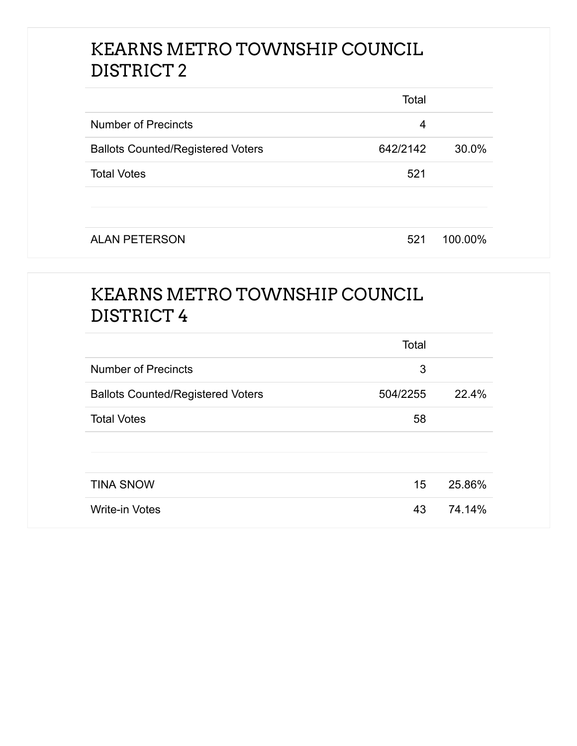## KEARNS METRO TOWNSHIP COUNCIL DISTRICT 2

|                                          | Total    |         |
|------------------------------------------|----------|---------|
| <b>Number of Precincts</b>               | 4        |         |
| <b>Ballots Counted/Registered Voters</b> | 642/2142 | 30.0%   |
| <b>Total Votes</b>                       | 521      |         |
| <b>ALAN PETERSON</b>                     | 521      | 100.00% |

## KEARNS METRO TOWNSHIP COUNCIL DISTRICT 4

|                                          | Total    |        |
|------------------------------------------|----------|--------|
| <b>Number of Precincts</b>               | 3        |        |
| <b>Ballots Counted/Registered Voters</b> | 504/2255 | 22.4%  |
| <b>Total Votes</b>                       | 58       |        |
|                                          |          |        |
|                                          |          |        |
| <b>TINA SNOW</b>                         | 15       | 25.86% |
| <b>Write-in Votes</b>                    | 43       | 74.14% |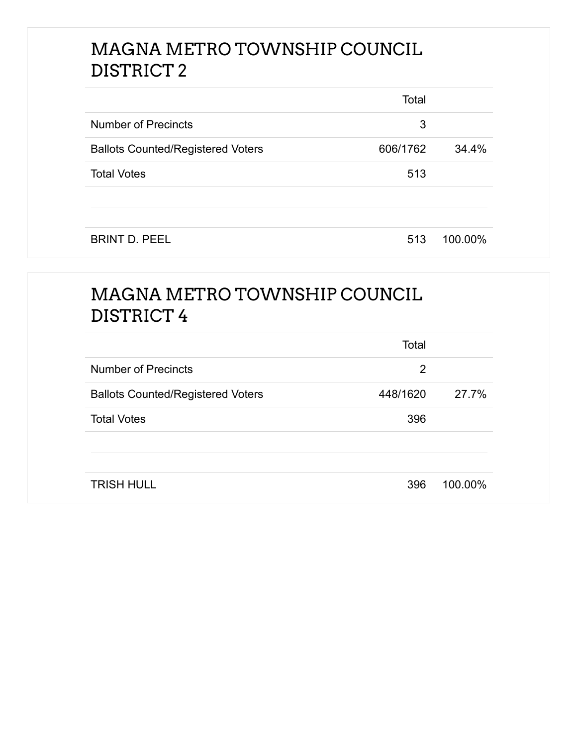## MAGNA METRO TOWNSHIP COUNCIL DISTRICT 2

|                                          | Total    |         |
|------------------------------------------|----------|---------|
| <b>Number of Precincts</b>               | 3        |         |
| <b>Ballots Counted/Registered Voters</b> | 606/1762 | 34.4%   |
| <b>Total Votes</b>                       | 513      |         |
|                                          |          |         |
| <b>BRINT D. PEEL</b>                     | 513      | 100.00% |

#### MAGNA METRO TOWNSHIP COUNCIL DISTRICT 4

|                                          | Total    |         |
|------------------------------------------|----------|---------|
| <b>Number of Precincts</b>               | 2        |         |
| <b>Ballots Counted/Registered Voters</b> | 448/1620 | 27.7%   |
| <b>Total Votes</b>                       | 396      |         |
|                                          |          |         |
|                                          |          |         |
| <b>TRISH HULL</b>                        | 396      | 100.00% |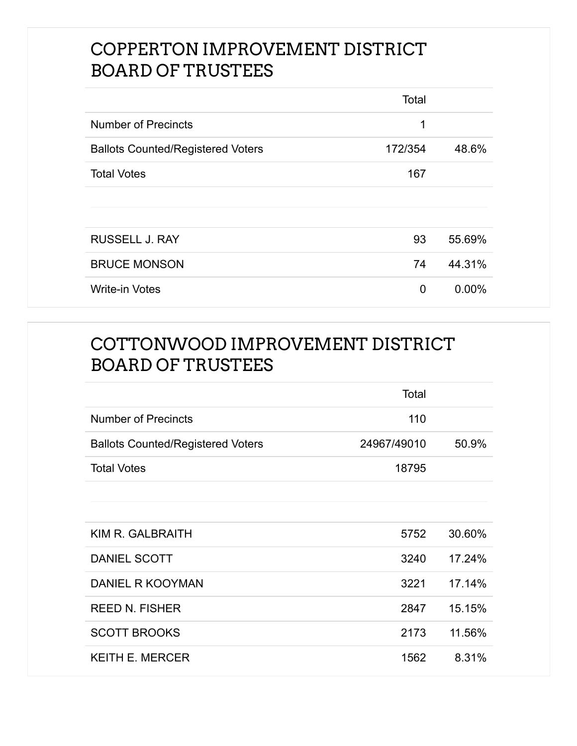### COPPERTON IMPROVEMENT DISTRICT BOARD OF TRUSTEES

|                                          | Total   |        |
|------------------------------------------|---------|--------|
| <b>Number of Precincts</b>               | 1       |        |
| <b>Ballots Counted/Registered Voters</b> | 172/354 | 48.6%  |
| <b>Total Votes</b>                       | 167     |        |
|                                          |         |        |
|                                          |         |        |
| <b>RUSSELL J. RAY</b>                    | 93      | 55.69% |
| <b>BRUCE MONSON</b>                      | 74      | 44.31% |
| <b>Write-in Votes</b>                    | 0       | 0.00%  |

## COTTONWOOD IMPROVEMENT DISTRICT BOARD OF TRUSTEES

|                                          | Total       |        |
|------------------------------------------|-------------|--------|
| <b>Number of Precincts</b>               | 110         |        |
| <b>Ballots Counted/Registered Voters</b> | 24967/49010 | 50.9%  |
| <b>Total Votes</b>                       | 18795       |        |
|                                          |             |        |
|                                          |             |        |
| KIM R. GALBRAITH                         | 5752        | 30.60% |
| <b>DANIEL SCOTT</b>                      | 3240        | 17.24% |
| <b>DANIEL R KOOYMAN</b>                  | 3221        | 17.14% |
| <b>REED N. FISHER</b>                    | 2847        | 15.15% |
| <b>SCOTT BROOKS</b>                      | 2173        | 11.56% |
| <b>KEITH E. MERCER</b>                   | 1562        | 8.31%  |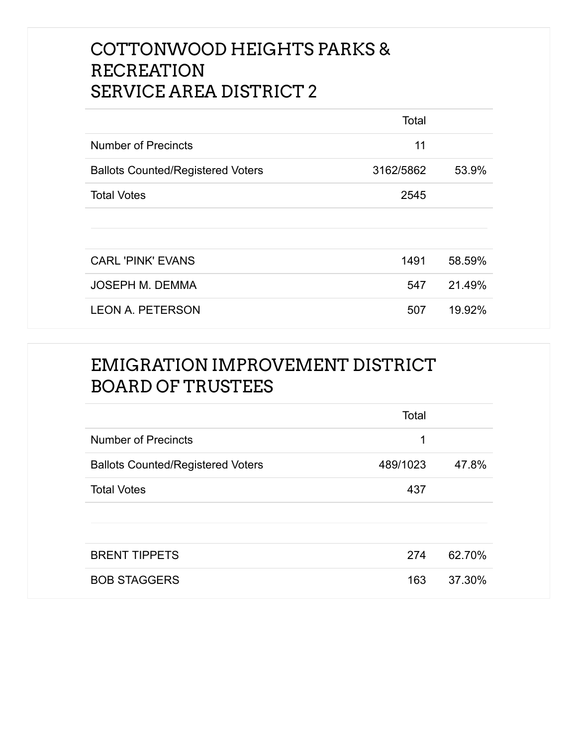## COTTONWOOD HEIGHTS PARKS & RECREATION SERVICE AREA DISTRICT 2

|                                          | Total     |        |
|------------------------------------------|-----------|--------|
| <b>Number of Precincts</b>               | 11        |        |
| <b>Ballots Counted/Registered Voters</b> | 3162/5862 | 53.9%  |
| <b>Total Votes</b>                       | 2545      |        |
|                                          |           |        |
|                                          |           |        |
| <b>CARL 'PINK' EVANS</b>                 | 1491      | 58.59% |
| <b>JOSEPH M. DEMMA</b>                   | 547       | 21.49% |
| <b>LEON A. PETERSON</b>                  | 507       | 19.92% |

#### EMIGRATION IMPROVEMENT DISTRICT BOARD OF TRUSTEES

|                                          | Total    |        |
|------------------------------------------|----------|--------|
| <b>Number of Precincts</b>               | 1        |        |
| <b>Ballots Counted/Registered Voters</b> | 489/1023 | 47.8%  |
| <b>Total Votes</b>                       | 437      |        |
|                                          |          |        |
|                                          |          |        |
| <b>BRENT TIPPETS</b>                     | 274      | 62.70% |
| <b>BOB STAGGERS</b>                      | 163      | 37.30% |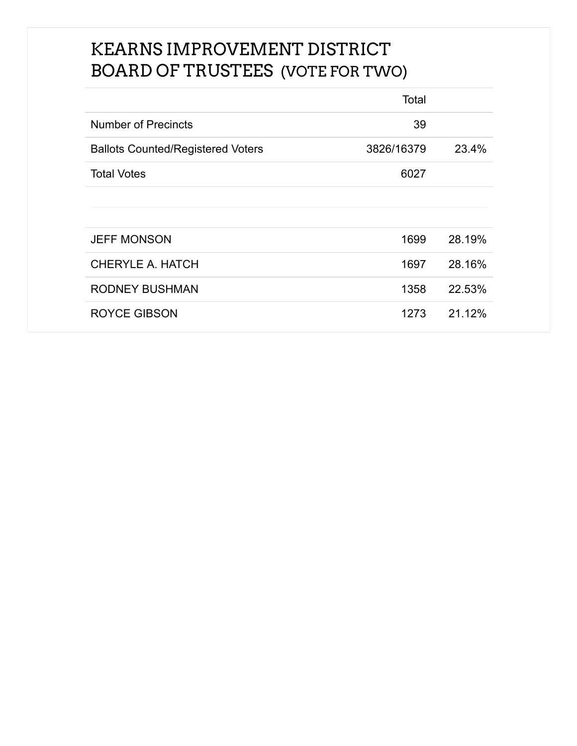## KEARNS IMPROVEMENT DISTRICT BOARD OF TRUSTEES (VOTE FOR TWO)

|                                          | Total      |        |
|------------------------------------------|------------|--------|
| Number of Precincts                      | 39         |        |
| <b>Ballots Counted/Registered Voters</b> | 3826/16379 | 23.4%  |
| <b>Total Votes</b>                       | 6027       |        |
|                                          |            |        |
|                                          |            |        |
| <b>JEFF MONSON</b>                       | 1699       | 28.19% |
| CHERYLE A. HATCH                         | 1697       | 28.16% |
| <b>RODNEY BUSHMAN</b>                    | 1358       | 22.53% |
| <b>ROYCE GIBSON</b>                      | 1273       | 21.12% |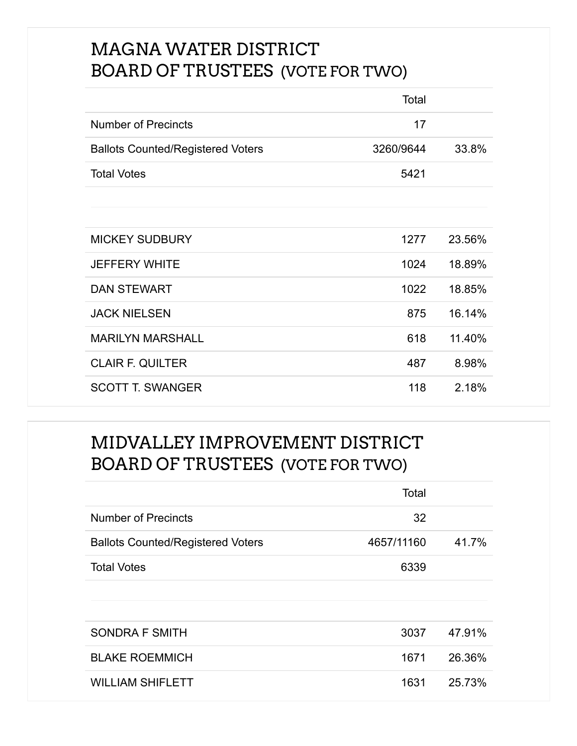## MAGNA WATER DISTRICT BOARD OF TRUSTEES (VOTE FOR TWO)

|                                          | Total     |        |
|------------------------------------------|-----------|--------|
| <b>Number of Precincts</b>               | 17        |        |
| <b>Ballots Counted/Registered Voters</b> | 3260/9644 | 33.8%  |
| <b>Total Votes</b>                       | 5421      |        |
|                                          |           |        |
|                                          |           |        |
| <b>MICKEY SUDBURY</b>                    | 1277      | 23.56% |
| <b>JEFFERY WHITE</b>                     | 1024      | 18.89% |
| <b>DAN STEWART</b>                       | 1022      | 18.85% |
| <b>JACK NIELSEN</b>                      | 875       | 16.14% |
| <b>MARILYN MARSHALL</b>                  | 618       | 11.40% |
| <b>CLAIR F. QUILTER</b>                  | 487       | 8.98%  |
| <b>SCOTT T. SWANGER</b>                  | 118       | 2.18%  |

## MIDVALLEY IMPROVEMENT DISTRICT BOARD OF TRUSTEES (VOTE FOR TWO)

|                                          | Total      |        |
|------------------------------------------|------------|--------|
| <b>Number of Precincts</b>               | 32         |        |
| <b>Ballots Counted/Registered Voters</b> | 4657/11160 | 41.7%  |
| <b>Total Votes</b>                       | 6339       |        |
|                                          |            |        |
|                                          |            |        |
| <b>SONDRA F SMITH</b>                    | 3037       | 47.91% |
| <b>BLAKE ROEMMICH</b>                    | 1671       | 26.36% |
| <b>WILLIAM SHIFLETT</b>                  | 1631       | 25.73% |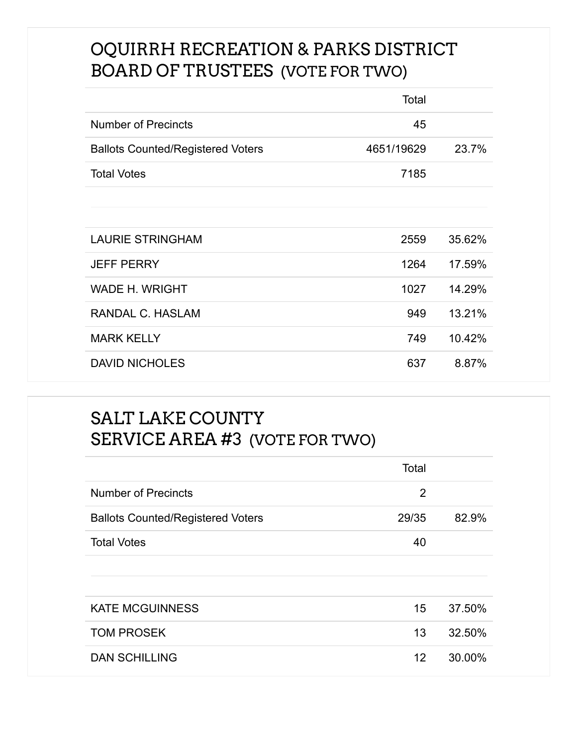## OQUIRRH RECREATION & PARKS DISTRICT BOARD OF TRUSTEES (VOTE FOR TWO)

|                                          | Total      |        |
|------------------------------------------|------------|--------|
| <b>Number of Precincts</b>               | 45         |        |
| <b>Ballots Counted/Registered Voters</b> | 4651/19629 | 23.7%  |
| <b>Total Votes</b>                       | 7185       |        |
|                                          |            |        |
|                                          |            |        |
| <b>LAURIE STRINGHAM</b>                  | 2559       | 35.62% |
| <b>JEFF PERRY</b>                        | 1264       | 17.59% |
| <b>WADE H. WRIGHT</b>                    | 1027       | 14.29% |
| RANDAL C. HASLAM                         | 949        | 13.21% |
| <b>MARK KELLY</b>                        | 749        | 10.42% |
| <b>DAVID NICHOLES</b>                    | 637        | 8.87%  |

#### SALT LAKE COUNTY SERVICE AREA #3 (VOTE FOR TWO)

|                                          | Total |        |
|------------------------------------------|-------|--------|
| Number of Precincts                      | 2     |        |
| <b>Ballots Counted/Registered Voters</b> | 29/35 | 82.9%  |
| <b>Total Votes</b>                       | 40    |        |
|                                          |       |        |
|                                          |       |        |
| <b>KATE MCGUINNESS</b>                   | 15    | 37.50% |
| <b>TOM PROSEK</b>                        | 13    | 32.50% |
| <b>DAN SCHILLING</b>                     | 12    | 30.00% |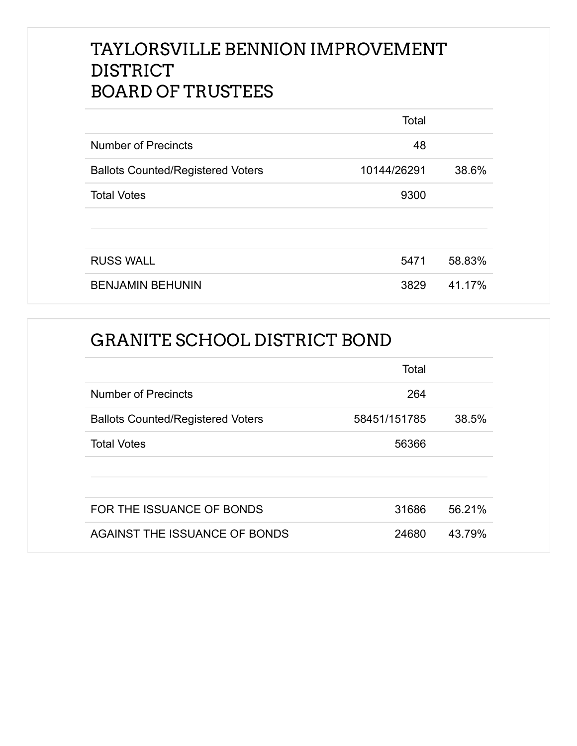## TAYLORSVILLE BENNION IMPROVEMENT DISTRICT BOARD OF TRUSTEES

|                                          | Total       |        |
|------------------------------------------|-------------|--------|
| <b>Number of Precincts</b>               | 48          |        |
| <b>Ballots Counted/Registered Voters</b> | 10144/26291 | 38.6%  |
| <b>Total Votes</b>                       | 9300        |        |
|                                          |             |        |
|                                          |             |        |
| <b>RUSS WALL</b>                         | 5471        | 58.83% |
| <b>BENJAMIN BEHUNIN</b>                  | 3829        | 41.17% |

#### GRANITE SCHOOL DISTRICT BOND

|                                          | Total        |        |
|------------------------------------------|--------------|--------|
| <b>Number of Precincts</b>               | 264          |        |
| <b>Ballots Counted/Registered Voters</b> | 58451/151785 | 38.5%  |
| <b>Total Votes</b>                       | 56366        |        |
|                                          |              |        |
|                                          |              |        |
| FOR THE ISSUANCE OF BONDS                | 31686        | 56.21% |
| AGAINST THE ISSUANCE OF BONDS            | 24680        | 43.79% |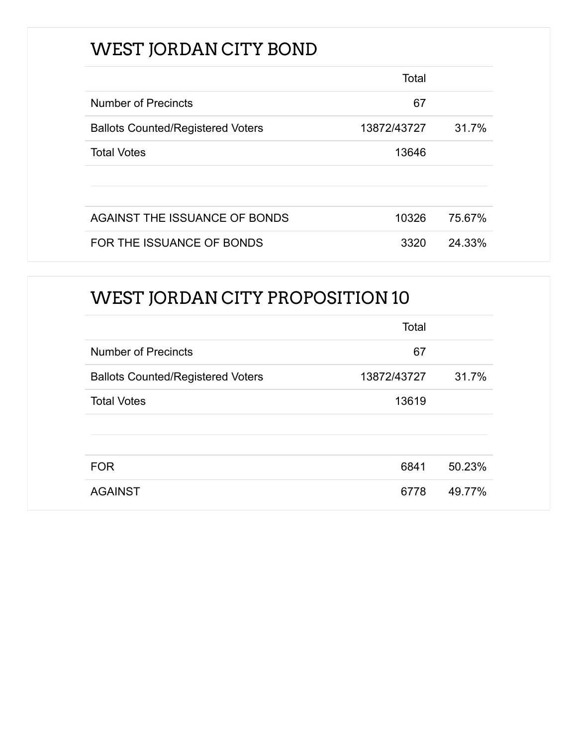# WEST JORDAN CITY BOND

|                                          | Total       |        |
|------------------------------------------|-------------|--------|
| <b>Number of Precincts</b>               | 67          |        |
| <b>Ballots Counted/Registered Voters</b> | 13872/43727 | 31.7%  |
| <b>Total Votes</b>                       | 13646       |        |
|                                          |             |        |
|                                          |             |        |
| AGAINST THE ISSUANCE OF BONDS            | 10326       | 75.67% |
| FOR THE ISSUANCE OF BONDS                | 3320        | 24.33% |

# WEST JORDAN CITY PROPOSITION 10

|                                          | Total       |        |
|------------------------------------------|-------------|--------|
| <b>Number of Precincts</b>               | 67          |        |
| <b>Ballots Counted/Registered Voters</b> | 13872/43727 | 31.7%  |
| <b>Total Votes</b>                       | 13619       |        |
|                                          |             |        |
|                                          |             |        |
| <b>FOR</b>                               | 6841        | 50.23% |
| <b>AGAINST</b>                           | 6778        | 49.77% |